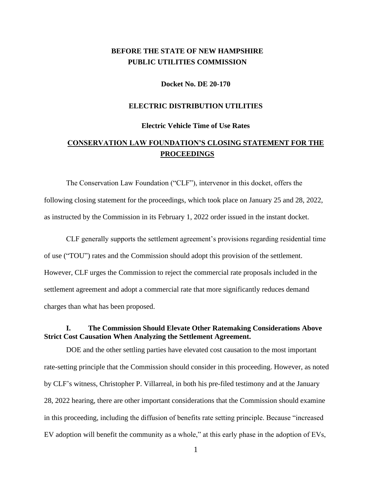# **BEFORE THE STATE OF NEW HAMPSHIRE PUBLIC UTILITIES COMMISSION**

**Docket No. DE 20-170**

#### **ELECTRIC DISTRIBUTION UTILITIES**

#### **Electric Vehicle Time of Use Rates**

# **CONSERVATION LAW FOUNDATION'S CLOSING STATEMENT FOR THE PROCEEDINGS**

The Conservation Law Foundation ("CLF"), intervenor in this docket, offers the following closing statement for the proceedings, which took place on January 25 and 28, 2022, as instructed by the Commission in its February 1, 2022 order issued in the instant docket.

CLF generally supports the settlement agreement's provisions regarding residential time of use ("TOU") rates and the Commission should adopt this provision of the settlement. However, CLF urges the Commission to reject the commercial rate proposals included in the settlement agreement and adopt a commercial rate that more significantly reduces demand charges than what has been proposed.

#### **I. The Commission Should Elevate Other Ratemaking Considerations Above Strict Cost Causation When Analyzing the Settlement Agreement.**

DOE and the other settling parties have elevated cost causation to the most important rate-setting principle that the Commission should consider in this proceeding. However, as noted by CLF's witness, Christopher P. Villarreal, in both his pre-filed testimony and at the January 28, 2022 hearing, there are other important considerations that the Commission should examine in this proceeding, including the diffusion of benefits rate setting principle. Because "increased EV adoption will benefit the community as a whole," at this early phase in the adoption of EVs,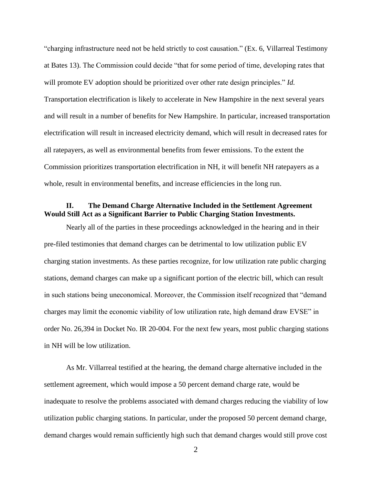"charging infrastructure need not be held strictly to cost causation." (Ex. 6, Villarreal Testimony at Bates 13). The Commission could decide "that for some period of time, developing rates that will promote EV adoption should be prioritized over other rate design principles." *Id.*  Transportation electrification is likely to accelerate in New Hampshire in the next several years and will result in a number of benefits for New Hampshire. In particular, increased transportation electrification will result in increased electricity demand, which will result in decreased rates for all ratepayers, as well as environmental benefits from fewer emissions. To the extent the Commission prioritizes transportation electrification in NH, it will benefit NH ratepayers as a whole, result in environmental benefits, and increase efficiencies in the long run.

### **II. The Demand Charge Alternative Included in the Settlement Agreement Would Still Act as a Significant Barrier to Public Charging Station Investments.**

Nearly all of the parties in these proceedings acknowledged in the hearing and in their pre-filed testimonies that demand charges can be detrimental to low utilization public EV charging station investments. As these parties recognize, for low utilization rate public charging stations, demand charges can make up a significant portion of the electric bill, which can result in such stations being uneconomical. Moreover, the Commission itself recognized that "demand charges may limit the economic viability of low utilization rate, high demand draw EVSE" in order No. 26,394 in Docket No. IR 20-004. For the next few years, most public charging stations in NH will be low utilization.

As Mr. Villarreal testified at the hearing, the demand charge alternative included in the settlement agreement, which would impose a 50 percent demand charge rate, would be inadequate to resolve the problems associated with demand charges reducing the viability of low utilization public charging stations. In particular, under the proposed 50 percent demand charge, demand charges would remain sufficiently high such that demand charges would still prove cost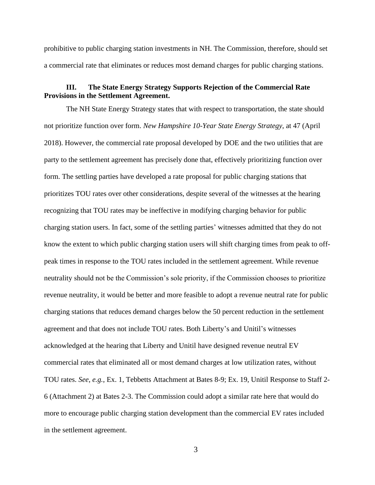prohibitive to public charging station investments in NH. The Commission, therefore, should set a commercial rate that eliminates or reduces most demand charges for public charging stations.

### **III. The State Energy Strategy Supports Rejection of the Commercial Rate Provisions in the Settlement Agreement.**

The NH State Energy Strategy states that with respect to transportation, the state should not prioritize function over form. *New Hampshire 10-Year State Energy Strategy*, at 47 (April 2018). However, the commercial rate proposal developed by DOE and the two utilities that are party to the settlement agreement has precisely done that, effectively prioritizing function over form. The settling parties have developed a rate proposal for public charging stations that prioritizes TOU rates over other considerations, despite several of the witnesses at the hearing recognizing that TOU rates may be ineffective in modifying charging behavior for public charging station users. In fact, some of the settling parties' witnesses admitted that they do not know the extent to which public charging station users will shift charging times from peak to offpeak times in response to the TOU rates included in the settlement agreement. While revenue neutrality should not be the Commission's sole priority, if the Commission chooses to prioritize revenue neutrality, it would be better and more feasible to adopt a revenue neutral rate for public charging stations that reduces demand charges below the 50 percent reduction in the settlement agreement and that does not include TOU rates. Both Liberty's and Unitil's witnesses acknowledged at the hearing that Liberty and Unitil have designed revenue neutral EV commercial rates that eliminated all or most demand charges at low utilization rates, without TOU rates. *See, e.g.*, Ex. 1, Tebbetts Attachment at Bates 8-9; Ex. 19, Unitil Response to Staff 2- 6 (Attachment 2) at Bates 2-3. The Commission could adopt a similar rate here that would do more to encourage public charging station development than the commercial EV rates included in the settlement agreement.